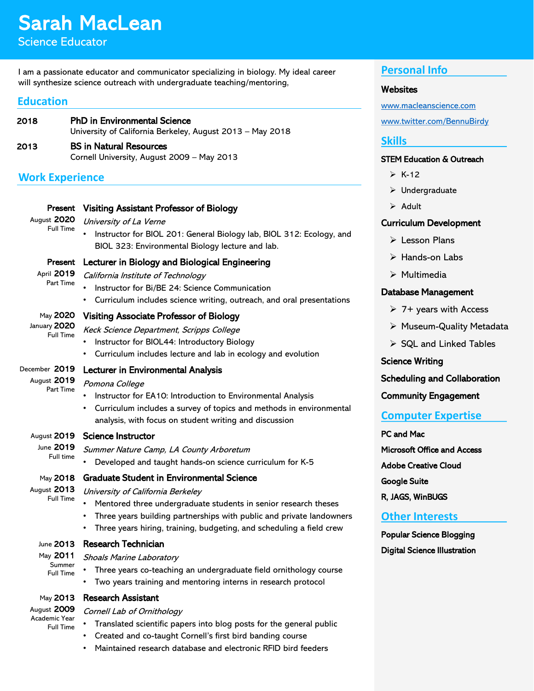# Sarah MacLean

Science Educator

#### I am a passionate educator and communicator specializing in biology. My ideal career will synthesize science outreach with undergraduate teaching/mentoring,

## **Education**

| 2018 | <b>PhD in Environmental Science</b><br>University of California Berkeley, August 2013 - May 2018 |
|------|--------------------------------------------------------------------------------------------------|
| 2013 | <b>BS in Natural Resources</b><br>Cornell University, August 2009 - May 2013                     |

# **Work Experience**

| Present<br>August 2020<br><b>Full Time</b>                   | <b>Visiting Assistant Professor of Biology</b><br>University of La Verne<br>Instructor for BIOL 201: General Biology lab, BIOL 312: Ecology, and<br>BIOL 323: Environmental Biology lecture and lab.                                                                                                                                            |
|--------------------------------------------------------------|-------------------------------------------------------------------------------------------------------------------------------------------------------------------------------------------------------------------------------------------------------------------------------------------------------------------------------------------------|
| Present<br>April 2019<br><b>Part Time</b>                    | Lecturer in Biology and Biological Engineering<br>California Institute of Technology<br>Instructor for Bi/BE 24: Science Communication<br>Curriculum includes science writing, outreach, and oral presentations                                                                                                                                 |
| May 2020<br>January 2020<br><b>Full Time</b>                 | <b>Visiting Associate Professor of Biology</b><br>Keck Science Department, Scripps College<br>Instructor for BIOL44: Introductory Biology<br>Curriculum includes lecture and lab in ecology and evolution<br>$\bullet$                                                                                                                          |
| December 2019<br>August 2019<br>Part Time                    | <b>Lecturer in Environmental Analysis</b><br>Pomona College<br>Instructor for EA10: Introduction to Environmental Analysis<br>Curriculum includes a survey of topics and methods in environmental<br>$\bullet$<br>analysis, with focus on student writing and discussion                                                                        |
| August 2019<br>June 2019<br>Full time                        | <b>Science Instructor</b><br>Summer Nature Camp, LA County Arboretum<br>Developed and taught hands-on science curriculum for K-5                                                                                                                                                                                                                |
| May 2018<br>August 2013<br><b>Full Time</b>                  | <b>Graduate Student in Environmental Science</b><br>University of California Berkeley<br>$\bullet$<br>Mentored three undergraduate students in senior research theses<br>Three years building partnerships with public and private landowners<br>$\bullet$<br>Three years hiring, training, budgeting, and scheduling a field crew<br>$\bullet$ |
| June 2013<br>May 2011<br>Summer<br><b>Full Time</b>          | <b>Research Technician</b><br><b>Shoals Marine Laboratory</b><br>Three years co-teaching an undergraduate field ornithology course<br>Two years training and mentoring interns in research protocol                                                                                                                                             |
| May 2013<br>August 2009<br>Academic Year<br><b>Full Time</b> | Research Assistant<br>Cornell Lab of Ornithology<br>Translated scientific papers into blog posts for the general public<br>Created and co-taught Cornell's first bird banding course                                                                                                                                                            |

## **Personal Info**

#### **Websites**

[www.macleanscience.com](http://www.macleanscience.com/) [www.twitter.com/BennuBirdy](http://www.twitter.com/BennuBirdy)

## **Skills**

#### STEM Education & Outreach

- $\triangleright$  K-12
- Undergraduate
- $\triangleright$  Adult

## Curriculum Development

- $\triangleright$  Lesson Plans
- $\triangleright$  Hands-on Labs
- $\triangleright$  Multimedia

#### Database Management

- $\triangleright$  7+ years with Access
- > Museum-Quality Metadata
- $\triangleright$  SQL and Linked Tables

#### Science Writing

Scheduling and Collaboration

#### Community Engagement

## **Computer Expertise**

#### PC and Mac

Microsoft Office and Access

Adobe Creative Cloud

Google Suite

R, JAGS, WinBUGS

## **Other Interests**

Popular Science Blogging Digital Science Illustration

- - Maintained research database and electronic RFID bird feeders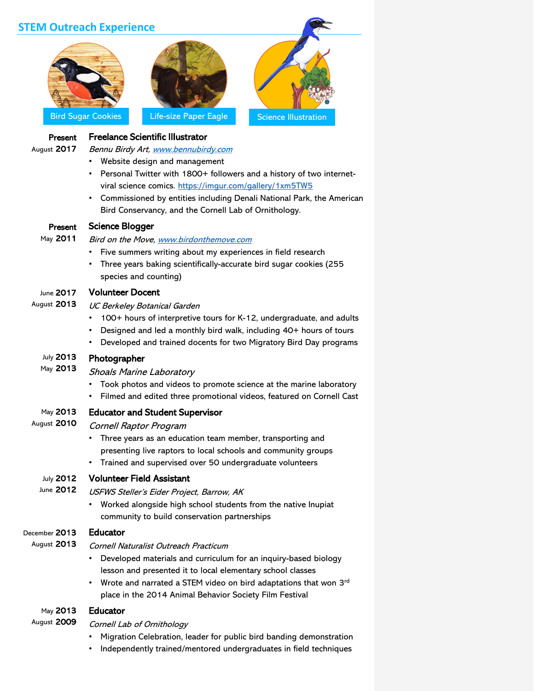|                        | <b>STEM Outreach Experience</b>                                                                                                                                                                                                                                     |                             |
|------------------------|---------------------------------------------------------------------------------------------------------------------------------------------------------------------------------------------------------------------------------------------------------------------|-----------------------------|
|                        | <b>Bird Sugar Cookies</b><br>Life-size Paper Eagle                                                                                                                                                                                                                  | <b>Science Illustration</b> |
| Present<br>August 2017 | <b>Freelance Scientific Illustrator</b><br>Bennu Birdy Art, www.bennubirdy.com<br>Website design and management<br>٠                                                                                                                                                |                             |
|                        | Personal Twitter with 1800+ followers and a history of two internet-<br>viral science comics. https://imgur.com/gallery/1xm5TW5<br>• Commissioned by entities including Denali National Park, the American<br>Bird Conservancy, and the Cornell Lab of Ornithology. |                             |
| Present                | <b>Science Blogger</b>                                                                                                                                                                                                                                              |                             |
| May 2011               | Bird on the Move, www.birdonthemove.com<br>Five summers writing about my experiences in field research<br>Three years baking scientifically-accurate bird sugar cookies (255<br>species and counting)                                                               |                             |
| June 2017              | <b>Volunteer Docent</b>                                                                                                                                                                                                                                             |                             |
| August 2013            | <b>UC Berkeley Botanical Garden</b><br>100+ hours of interpretive tours for K-12, undergraduate, and adults<br>Designed and led a monthly bird walk, including 40+ hours of tours<br>Developed and trained docents for two Migratory Bird Day programs<br>$\bullet$ |                             |
| July 2013              | Photographer                                                                                                                                                                                                                                                        |                             |
| May 2013               | <b>Shoals Marine Laboratory</b><br>Took photos and videos to promote science at the marine laboratory<br>Filmed and edited three promotional videos, featured on Cornell Cast                                                                                       |                             |
| May 2013               | <b>Educator and Student Supervisor</b>                                                                                                                                                                                                                              |                             |
| August 2010            | Cornell Raptor Program                                                                                                                                                                                                                                              |                             |
|                        | Three years as an education team member, transporting and                                                                                                                                                                                                           |                             |
|                        | presenting live raptors to local schools and community groups<br>Trained and supervised over 50 undergraduate volunteers                                                                                                                                            |                             |
| <b>July 2012</b>       | <b>Volunteer Field Assistant</b>                                                                                                                                                                                                                                    |                             |
| June 2012              | USFWS Steller's Eider Project, Barrow, AK                                                                                                                                                                                                                           |                             |
|                        | Worked alongside high school students from the native Inupiat<br>community to build conservation partnerships                                                                                                                                                       |                             |
| December 2013          | <b>Educator</b>                                                                                                                                                                                                                                                     |                             |
| August 2013            | Cornell Naturalist Outreach Practicum                                                                                                                                                                                                                               |                             |
|                        | Developed materials and curriculum for an inquiry-based biology<br>٠                                                                                                                                                                                                |                             |
|                        | lesson and presented it to local elementary school classes<br>Wrote and narrated a STEM video on bird adaptations that won 3rd<br>$\bullet$                                                                                                                         |                             |
|                        | place in the 2014 Animal Behavior Society Film Festival                                                                                                                                                                                                             |                             |
| May 2013               | <b>Educator</b>                                                                                                                                                                                                                                                     |                             |
| August 2009            | Cornell Lab of Ornithology                                                                                                                                                                                                                                          |                             |
|                        | Migration Celebration, leader for public bird banding demonstration<br>Independently trained/mentored undergraduates in field techniques                                                                                                                            |                             |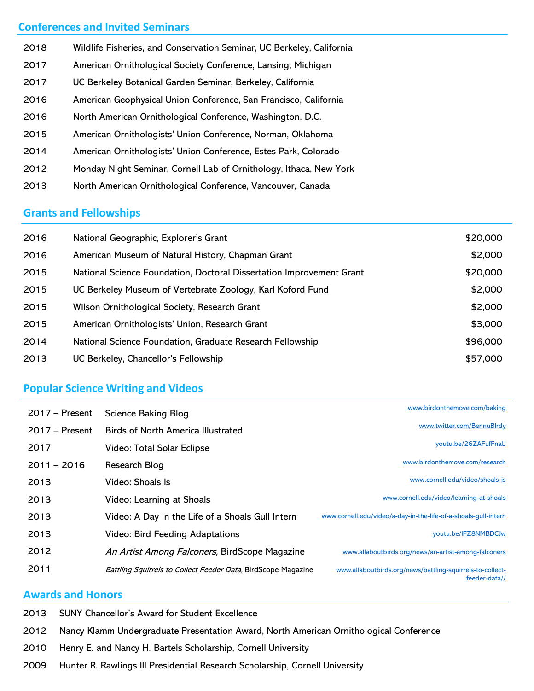## **Conferences and Invited Seminars**

- Wildlife Fisheries, and Conservation Seminar, UC Berkeley, California 2018
- American Ornithological Society Conference, Lansing, Michigan 2017
- UC Berkeley Botanical Garden Seminar, Berkeley, California 2017
- American Geophysical Union Conference, San Francisco, California 2016
- North American Ornithological Conference, Washington, D.C. 2016
- American Ornithologists' Union Conference, Norman, Oklahoma 2015
- American Ornithologists' Union Conference, Estes Park, Colorado 2014
- Monday Night Seminar, Cornell Lab of Ornithology, Ithaca, New York 2012
- North American Ornithological Conference, Vancouver, Canada 2013

# **Grants and Fellowships**

| 2016 | National Geographic, Explorer's Grant                                | \$20,000 |
|------|----------------------------------------------------------------------|----------|
| 2016 | American Museum of Natural History, Chapman Grant                    | \$2,000  |
| 2015 | National Science Foundation, Doctoral Dissertation Improvement Grant | \$20,000 |
| 2015 | UC Berkeley Museum of Vertebrate Zoology, Karl Koford Fund           | \$2,000  |
| 2015 | Wilson Ornithological Society, Research Grant                        | \$2,000  |
| 2015 | American Ornithologists' Union, Research Grant                       | \$3,000  |
| 2014 | National Science Foundation, Graduate Research Fellowship            | \$96,000 |
| 2013 | UC Berkeley, Chancellor's Fellowship                                 | \$57,000 |

# **Popular Science Writing and Videos**

| $2017 -$ Present | <b>Science Baking Blog</b>                                    | www.birdonthemove.com/baking                                               |
|------------------|---------------------------------------------------------------|----------------------------------------------------------------------------|
| $2017 -$ Present | <b>Birds of North America Illustrated</b>                     | www.twitter.com/BennuBlrdy                                                 |
| 2017             | Video: Total Solar Eclipse                                    | youtu.be/26ZAFufFnaU                                                       |
| $2011 - 2016$    | Research Blog                                                 | www.birdonthemove.com/research                                             |
| 2013             | Video: Shoals Is                                              | www.cornell.edu/video/shoals-is                                            |
| 2013             | Video: Learning at Shoals                                     | www.cornell.edu/video/learning-at-shoals                                   |
| 2013             | Video: A Day in the Life of a Shoals Gull Intern              | www.cornell.edu/video/a-day-in-the-life-of-a-shoals-gull-intern            |
| 2013             | Video: Bird Feeding Adaptations                               | youtu.be/IFZ8NMBDCJw                                                       |
| 2012             | An Artist Among Falconers, BirdScope Magazine                 | www.allaboutbirds.org/news/an-artist-among-falconers                       |
| 2011             | Battling Squirrels to Collect Feeder Data, BirdScope Magazine | www.allaboutbirds.org/news/battling-squirrels-to-collect-<br>feeder-data// |

## **Awards and Honors**

| 2013 SUNY Chancellor's Award for Student Excellence                                         |
|---------------------------------------------------------------------------------------------|
| 2012 Nancy Klamm Undergraduate Presentation Award, North American Ornithological Conference |
| 2010 Henry E. and Nancy H. Bartels Scholarship, Cornell University                          |

Hunter R. Rawlings III Presidential Research Scholarship, Cornell University 2009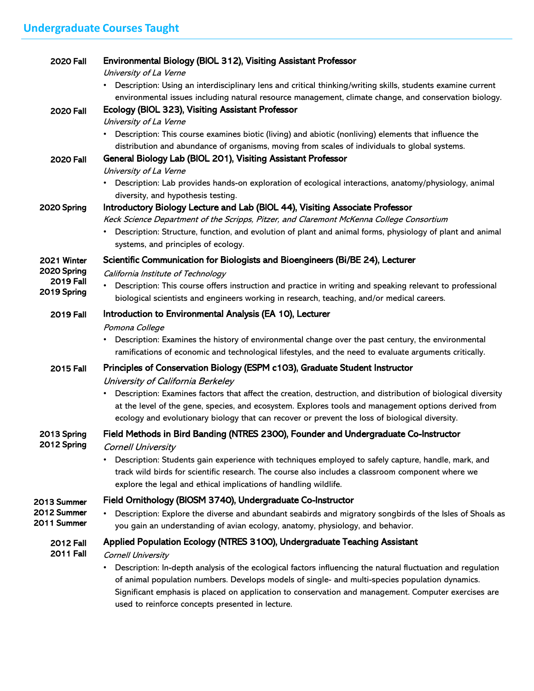| <b>2020 Fall</b>                                              | Environmental Biology (BIOL 312), Visiting Assistant Professor<br>University of La Verne                                                                                                                                                                                                                                                           |
|---------------------------------------------------------------|----------------------------------------------------------------------------------------------------------------------------------------------------------------------------------------------------------------------------------------------------------------------------------------------------------------------------------------------------|
|                                                               | • Description: Using an interdisciplinary lens and critical thinking/writing skills, students examine current<br>environmental issues including natural resource management, climate change, and conservation biology.                                                                                                                             |
| <b>2020 Fall</b>                                              | Ecology (BIOL 323), Visiting Assistant Professor<br>University of La Verne<br>• Description: This course examines biotic (living) and abiotic (nonliving) elements that influence the                                                                                                                                                              |
| <b>2020 Fall</b>                                              | distribution and abundance of organisms, moving from scales of individuals to global systems.<br>General Biology Lab (BIOL 201), Visiting Assistant Professor<br>University of La Verne                                                                                                                                                            |
|                                                               | • Description: Lab provides hands-on exploration of ecological interactions, anatomy/physiology, animal<br>diversity, and hypothesis testing.                                                                                                                                                                                                      |
| 2020 Spring                                                   | Introductory Biology Lecture and Lab (BIOL 44), Visiting Associate Professor<br>Keck Science Department of the Scripps, Pitzer, and Claremont McKenna College Consortium<br>• Description: Structure, function, and evolution of plant and animal forms, physiology of plant and animal<br>systems, and principles of ecology.                     |
| 2021 Winter<br>2020 Spring<br><b>2019 Fall</b><br>2019 Spring | Scientific Communication for Biologists and Bioengineers (Bi/BE 24), Lecturer                                                                                                                                                                                                                                                                      |
|                                                               | California Institute of Technology<br>• Description: This course offers instruction and practice in writing and speaking relevant to professional<br>biological scientists and engineers working in research, teaching, and/or medical careers.                                                                                                    |
| <b>2019 Fall</b>                                              | Introduction to Environmental Analysis (EA 10), Lecturer                                                                                                                                                                                                                                                                                           |
|                                                               | Pomona College<br>Description: Examines the history of environmental change over the past century, the environmental<br>ramifications of economic and technological lifestyles, and the need to evaluate arguments critically.                                                                                                                     |
| <b>2015 Fall</b>                                              | Principles of Conservation Biology (ESPM c103), Graduate Student Instructor<br>University of California Berkeley                                                                                                                                                                                                                                   |
|                                                               | Description: Examines factors that affect the creation, destruction, and distribution of biological diversity<br>at the level of the gene, species, and ecosystem. Explores tools and management options derived from<br>ecology and evolutionary biology that can recover or prevent the loss of biological diversity.                            |
| 2013 Spring                                                   | Field Methods in Bird Banding (NTRES 2300), Founder and Undergraduate Co-Instructor                                                                                                                                                                                                                                                                |
| 2012 Spring                                                   | <b>Cornell University</b><br>Description: Students gain experience with techniques employed to safely capture, handle, mark, and<br>track wild birds for scientific research. The course also includes a classroom component where we<br>explore the legal and ethical implications of handling wildlife.                                          |
| 2013 Summer                                                   | Field Ornithology (BIOSM 3740), Undergraduate Co-Instructor                                                                                                                                                                                                                                                                                        |
| 2012 Summer<br>2011 Summer                                    | Description: Explore the diverse and abundant seabirds and migratory songbirds of the Isles of Shoals as<br>you gain an understanding of avian ecology, anatomy, physiology, and behavior.                                                                                                                                                         |
| <b>2012 Fall</b>                                              | Applied Population Ecology (NTRES 3100), Undergraduate Teaching Assistant                                                                                                                                                                                                                                                                          |
| <b>2011 Fall</b>                                              | <b>Cornell University</b><br>Description: In-depth analysis of the ecological factors influencing the natural fluctuation and regulation<br>of animal population numbers. Develops models of single- and multi-species population dynamics.<br>Significant emphasis is placed on application to conservation and management Computer evercises are |

Significant emphasis is placed on application to conservation and management. Computer exercises are used to reinforce concepts presented in lecture.